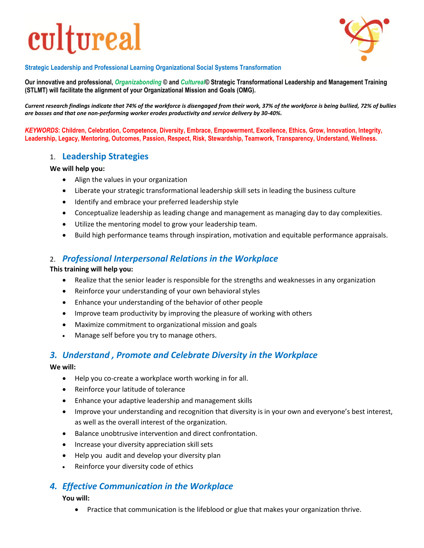# cultureal



**Strategic Leadership and Professional Learning Organizational Social Systems Transformation**

**Our innovative and professional,** *Organizabonding* **© and** *Cultureal***© Strategic Transformational Leadership and Management Training (STLMT) will facilitate the alignment of your Organizational Mission and Goals (OMG).**

*Current research findings indicate that 74% of the workforce is disengaged from their work, 37% of the workforce is being bullied, 72% of bullies are bosses and that one non-performing worker erodes productivity and service delivery by 30-40%.*

*KEYWORDS***: Children, Celebration, Competence, Diversity, Embrace, Empowerment, Excellence, Ethics, Grow, Innovation, Integrity, Leadership, Legacy, Mentoring, Outcomes, Passion, Respect, Risk, Stewardship, Teamwork, Transparency, Understand, Wellness.**

### 1. **Leadership Strategies**

#### **We will help you:**

- Align the values in your organization
- Liberate your strategic transformational leadership skill sets in leading the business culture
- Identify and embrace your preferred leadership style
- Conceptualize leadership as leading change and management as managing day to day complexities.
- Utilize the mentoring model to grow your leadership team.
- Build high performance teams through inspiration, motivation and equitable performance appraisals.

## 2. *Professional Interpersonal Relations in the Workplace*

#### **This training will help you:**

- Realize that the senior leader is responsible for the strengths and weaknesses in any organization
- Reinforce your understanding of your own behavioral styles
- Enhance your understanding of the behavior of other people
- Improve team productivity by improving the pleasure of working with others
- Maximize commitment to organizational mission and goals
- Manage self before you try to manage others.

## *3. Understand , Promote and Celebrate Diversity in the Workplace*

**We will:**

- Help you co-create a workplace worth working in for all.
- Reinforce your latitude of tolerance
- Enhance your adaptive leadership and management skills
- Improve your understanding and recognition that diversity is in your own and everyone's best interest, as well as the overall interest of the organization.
- Balance unobtrusive intervention and direct confrontation.
- Increase your diversity appreciation skill sets
- Help you audit and develop your diversity plan
- Reinforce your diversity code of ethics

# *4. Effective Communication in the Workplace*

#### **You will:**

Practice that communication is the lifeblood or glue that makes your organization thrive.